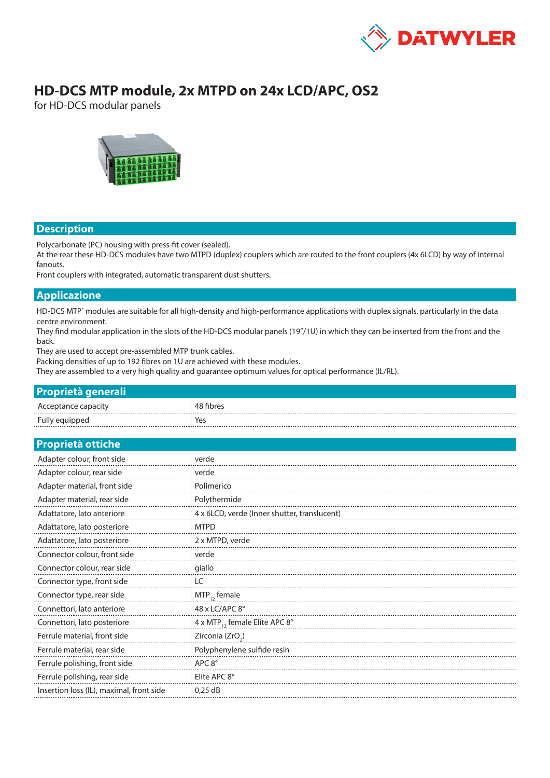

# **HD-DCS MTP module, 2x MTPD on 24x LCD/APC, OS2**

for HD-DCS modular panels



#### **Description**

Polycarbonate (PC) housing with press-fit cover (sealed).

At the rear these HD-DCS modules have two MTPD (duplex) couplers which are routed to the front couplers (4x 6LCD) by way of internal fanouts.

Front couplers with integrated, automatic transparent dust shutters.

### **Applicazione**

HD-DCS MTP<sup>®</sup> modules are suitable for all high-density and high-performance applications with duplex signals, particularly in the data centre environment.

They find modular application in the slots of the HD-DCS modular panels (19"/1U) in which they can be inserted from the front and the back.

They are used to accept pre-assembled MTP trunk cables.

Packing densities of up to 192 fibres on 1U are achieved with these modules.

They are assembled to a very high quality and guarantee optimum values for optical performance (IL/RL).

| <b>Proprietà generali</b> |           |
|---------------------------|-----------|
| Acceptance capacity       | 48 fibres |
| Fully equipped            | Yes       |

#### **Proprietà ottiche**

| Adapter colour, front side               | verde                                        |  |  |  |
|------------------------------------------|----------------------------------------------|--|--|--|
| Adapter colour, rear side                | verde                                        |  |  |  |
| Adapter material, front side             | Polimerico                                   |  |  |  |
| Adapter material, rear side              | Polythermide                                 |  |  |  |
| Adattatore, lato anteriore               | 4 x 6LCD, verde (Inner shutter, translucent) |  |  |  |
| Adattatore, lato posteriore              | <b>MTPD</b>                                  |  |  |  |
| Adattatore, lato posteriore              | 2 x MTPD, verde                              |  |  |  |
| Connector colour, front side             | verde                                        |  |  |  |
| Connector colour, rear side              | giallo                                       |  |  |  |
| Connector type, front side               | LC                                           |  |  |  |
| Connector type, rear side                | $MTP_{12}$ female                            |  |  |  |
| Connettori, lato anteriore               | 48 x LC/APC 8°                               |  |  |  |
| Connettori, lato posteriore              | 4 x MTP <sub>12</sub> female Elite APC 8°    |  |  |  |
| Ferrule material, front side             | Zirconia (ZrO <sub>2</sub> )                 |  |  |  |
| Ferrule material, rear side              | Polyphenylene sulfide resin                  |  |  |  |
| Ferrule polishing, front side            | APC 8°                                       |  |  |  |
| Ferrule polishing, rear side             | Elite APC 8°                                 |  |  |  |
| Insertion loss (IL), maximal, front side | 0.25 dB                                      |  |  |  |